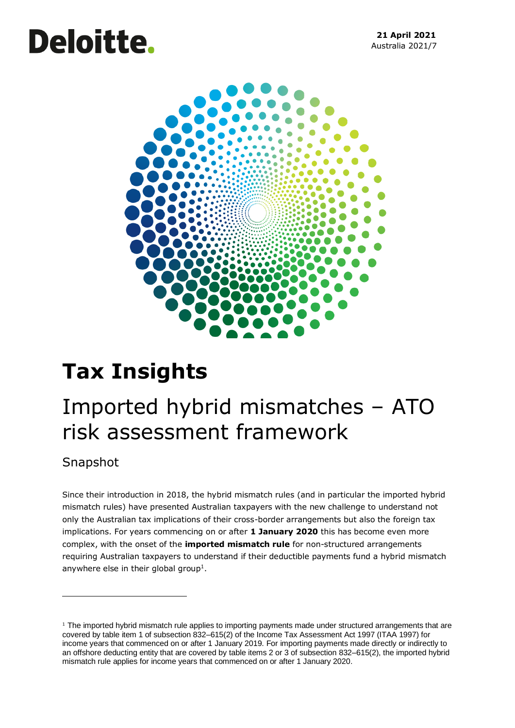# **Deloitte.**



# **Tax Insights**

## Imported hybrid mismatches – ATO risk assessment framework

### Snapshot

Since their introduction in 2018, the hybrid mismatch rules (and in particular the imported hybrid mismatch rules) have presented Australian taxpayers with the new challenge to understand not only the Australian tax implications of their cross-border arrangements but also the foreign tax implications. For years commencing on or after **1 January 2020** this has become even more complex, with the onset of the **imported mismatch rule** for non-structured arrangements requiring Australian taxpayers to understand if their deductible payments fund a hybrid mismatch anywhere else in their global group<sup>1</sup>.

 $1$  The imported hybrid mismatch rule applies to importing payments made under structured arrangements that are covered by table item 1 of subsection 832–615(2) of the Income Tax Assessment Act 1997 (ITAA 1997) for income years that commenced on or after 1 January 2019. For importing payments made directly or indirectly to an offshore deducting entity that are covered by table items 2 or 3 of subsection 832–615(2), the imported hybrid mismatch rule applies for income years that commenced on or after 1 January 2020.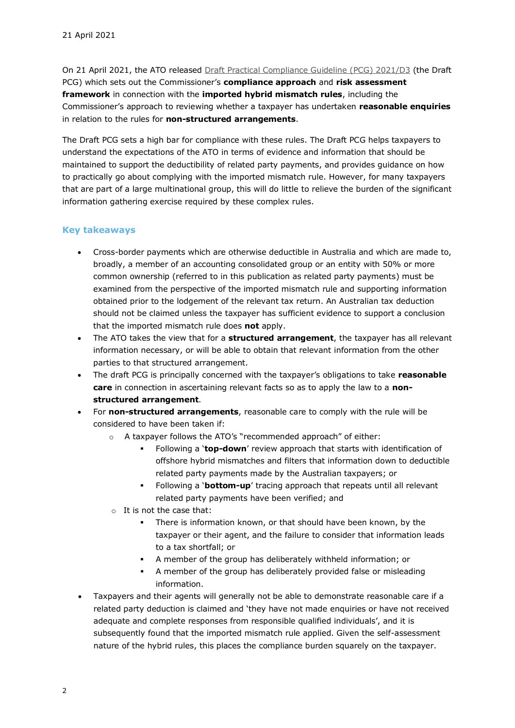On 21 April 2021, the ATO released [Draft Practical Compliance Guideline \(PCG\)](https://www.ato.gov.au/law/view/document?docid=DPC/PCG2021D3/NAT/ATO/00001) 2021/D3 (the Draft PCG) which sets out the Commissioner's **compliance approach** and **risk assessment framework** in connection with the **imported hybrid mismatch rules**, including the Commissioner's approach to reviewing whether a taxpayer has undertaken **reasonable enquiries**  in relation to the rules for **non-structured arrangements**.

The Draft PCG sets a high bar for compliance with these rules. The Draft PCG helps taxpayers to understand the expectations of the ATO in terms of evidence and information that should be maintained to support the deductibility of related party payments, and provides guidance on how to practically go about complying with the imported mismatch rule. However, for many taxpayers that are part of a large multinational group, this will do little to relieve the burden of the significant information gathering exercise required by these complex rules.

#### **Key takeaways**

- Cross-border payments which are otherwise deductible in Australia and which are made to, broadly, a member of an accounting consolidated group or an entity with 50% or more common ownership (referred to in this publication as related party payments) must be examined from the perspective of the imported mismatch rule and supporting information obtained prior to the lodgement of the relevant tax return. An Australian tax deduction should not be claimed unless the taxpayer has sufficient evidence to support a conclusion that the imported mismatch rule does **not** apply.
- The ATO takes the view that for a **structured arrangement**, the taxpayer has all relevant information necessary, or will be able to obtain that relevant information from the other parties to that structured arrangement.
- The draft PCG is principally concerned with the taxpayer's obligations to take **reasonable care** in connection in ascertaining relevant facts so as to apply the law to a **nonstructured arrangement**.
- For **non-structured arrangements**, reasonable care to comply with the rule will be considered to have been taken if:
	- o A taxpayer follows the ATO's "recommended approach" of either:
		- Following a '**top-down**' review approach that starts with identification of offshore hybrid mismatches and filters that information down to deductible related party payments made by the Australian taxpayers; or
		- Following a '**bottom-up**' tracing approach that repeats until all relevant related party payments have been verified; and
	- o It is not the case that:
		- There is information known, or that should have been known, by the taxpayer or their agent, and the failure to consider that information leads to a tax shortfall; or
		- A member of the group has deliberately withheld information; or
		- A member of the group has deliberately provided false or misleading information.
- Taxpayers and their agents will generally not be able to demonstrate reasonable care if a related party deduction is claimed and 'they have not made enquiries or have not received adequate and complete responses from responsible qualified individuals', and it is subsequently found that the imported mismatch rule applied. Given the self-assessment nature of the hybrid rules, this places the compliance burden squarely on the taxpayer.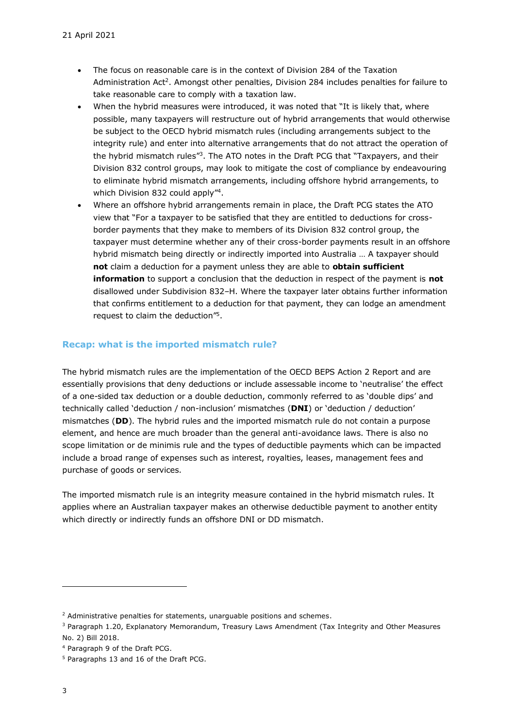- The focus on reasonable care is in the context of Division 284 of the Taxation Administration Act<sup>2</sup>. Amongst other penalties, Division 284 includes penalties for failure to take reasonable care to comply with a taxation law.
- When the hybrid measures were introduced, it was noted that "It is likely that, where possible, many taxpayers will restructure out of hybrid arrangements that would otherwise be subject to the OECD hybrid mismatch rules (including arrangements subject to the integrity rule) and enter into alternative arrangements that do not attract the operation of the hybrid mismatch rules<sup>"3</sup>. The ATO notes in the Draft PCG that "Taxpayers, and their Division 832 control groups, may look to mitigate the cost of compliance by endeavouring to eliminate hybrid mismatch arrangements, including offshore hybrid arrangements, to which Division 832 could apply"<sup>4</sup>.
- Where an offshore hybrid arrangements remain in place, the Draft PCG states the ATO view that "For a taxpayer to be satisfied that they are entitled to deductions for crossborder payments that they make to members of its Division 832 control group, the taxpayer must determine whether any of their cross-border payments result in an offshore hybrid mismatch being directly or indirectly imported into Australia … A taxpayer should **not** claim a deduction for a payment unless they are able to **obtain sufficient information** to support a conclusion that the deduction in respect of the payment is **not** disallowed under Subdivision 832–H. Where the taxpayer later obtains further information that confirms entitlement to a deduction for that payment, they can lodge an amendment request to claim the deduction"<sup>5</sup> .

#### **Recap: what is the imported mismatch rule?**

The hybrid mismatch rules are the implementation of the OECD BEPS Action 2 Report and are essentially provisions that deny deductions or include assessable income to 'neutralise' the effect of a one-sided tax deduction or a double deduction, commonly referred to as 'double dips' and technically called 'deduction / non-inclusion' mismatches (**DNI**) or 'deduction / deduction' mismatches (**DD**). The hybrid rules and the imported mismatch rule do not contain a purpose element, and hence are much broader than the general anti-avoidance laws. There is also no scope limitation or de minimis rule and the types of deductible payments which can be impacted include a broad range of expenses such as interest, royalties, leases, management fees and purchase of goods or services.

The imported mismatch rule is an integrity measure contained in the hybrid mismatch rules. It applies where an Australian taxpayer makes an otherwise deductible payment to another entity which directly or indirectly funds an offshore DNI or DD mismatch.

 $2$  Administrative penalties for statements, unarguable positions and schemes.

<sup>3</sup> Paragraph 1.20, Explanatory Memorandum, Treasury Laws Amendment (Tax Integrity and Other Measures No. 2) Bill 2018.

<sup>4</sup> Paragraph 9 of the Draft PCG.

<sup>5</sup> Paragraphs 13 and 16 of the Draft PCG.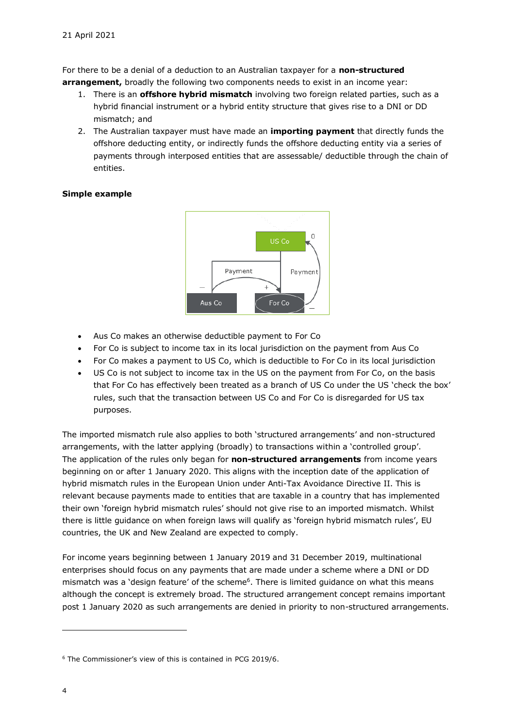For there to be a denial of a deduction to an Australian taxpayer for a **non-structured arrangement,** broadly the following two components needs to exist in an income year:

- 1. There is an **offshore hybrid mismatch** involving two foreign related parties, such as a hybrid financial instrument or a hybrid entity structure that gives rise to a DNI or DD mismatch; and
- 2. The Australian taxpayer must have made an **importing payment** that directly funds the offshore deducting entity, or indirectly funds the offshore deducting entity via a series of payments through interposed entities that are assessable/ deductible through the chain of entities.

#### **Simple example**



- Aus Co makes an otherwise deductible payment to For Co
- For Co is subject to income tax in its local jurisdiction on the payment from Aus Co
- For Co makes a payment to US Co, which is deductible to For Co in its local jurisdiction
- US Co is not subject to income tax in the US on the payment from For Co, on the basis that For Co has effectively been treated as a branch of US Co under the US 'check the box' rules, such that the transaction between US Co and For Co is disregarded for US tax purposes.

The imported mismatch rule also applies to both 'structured arrangements' and non-structured arrangements, with the latter applying (broadly) to transactions within a 'controlled group'. The application of the rules only began for **non-structured arrangements** from income years beginning on or after 1 January 2020. This aligns with the inception date of the application of hybrid mismatch rules in the European Union under Anti-Tax Avoidance Directive II. This is relevant because payments made to entities that are taxable in a country that has implemented their own 'foreign hybrid mismatch rules' should not give rise to an imported mismatch. Whilst there is little guidance on when foreign laws will qualify as 'foreign hybrid mismatch rules', EU countries, the UK and New Zealand are expected to comply.

For income years beginning between 1 January 2019 and 31 December 2019, multinational enterprises should focus on any payments that are made under a scheme where a DNI or DD mismatch was a 'design feature' of the scheme<sup>6</sup>. There is limited guidance on what this means although the concept is extremely broad. The structured arrangement concept remains important post 1 January 2020 as such arrangements are denied in priority to non-structured arrangements.

<sup>6</sup> The Commissioner's view of this is contained in PCG 2019/6.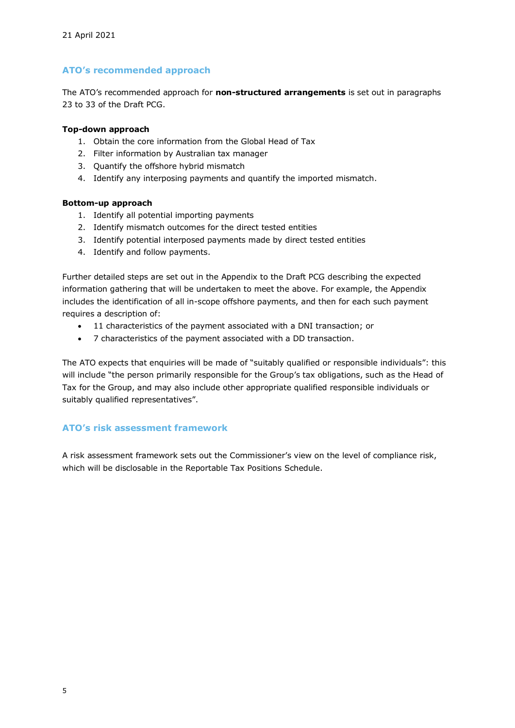#### **ATO's recommended approach**

The ATO's recommended approach for **non-structured arrangements** is set out in paragraphs 23 to 33 of the Draft PCG.

#### **Top-down approach**

- 1. Obtain the core information from the Global Head of Tax
- 2. Filter information by Australian tax manager
- 3. Quantify the offshore hybrid mismatch
- 4. Identify any interposing payments and quantify the imported mismatch.

#### **Bottom-up approach**

- 1. Identify all potential importing payments
- 2. Identify mismatch outcomes for the direct tested entities
- 3. Identify potential interposed payments made by direct tested entities
- 4. Identify and follow payments.

Further detailed steps are set out in the Appendix to the Draft PCG describing the expected information gathering that will be undertaken to meet the above. For example, the Appendix includes the identification of all in-scope offshore payments, and then for each such payment requires a description of:

- 11 characteristics of the payment associated with a DNI transaction; or
- 7 characteristics of the payment associated with a DD transaction.

The ATO expects that enquiries will be made of "suitably qualified or responsible individuals": this will include "the person primarily responsible for the Group's tax obligations, such as the Head of Tax for the Group, and may also include other appropriate qualified responsible individuals or suitably qualified representatives".

#### **ATO's risk assessment framework**

A risk assessment framework sets out the Commissioner's view on the level of compliance risk, which will be disclosable in the Reportable Tax Positions Schedule.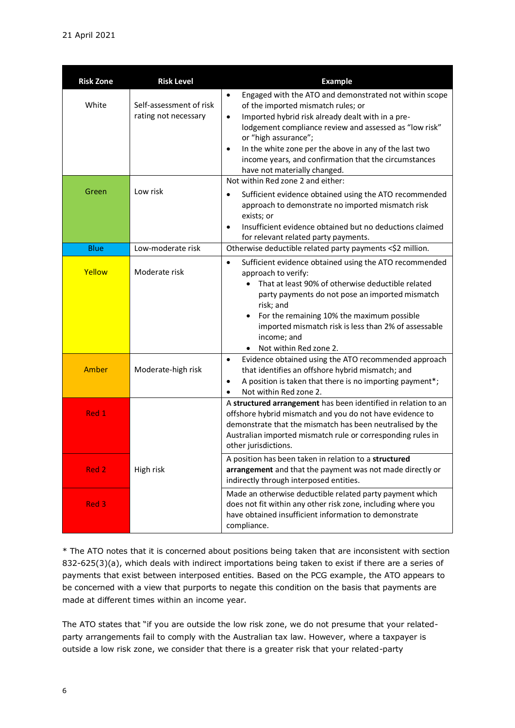| <b>Risk Zone</b> | <b>Risk Level</b>                               | <b>Example</b>                                                                                                                                                                                                                                                                                                                                                                                                   |
|------------------|-------------------------------------------------|------------------------------------------------------------------------------------------------------------------------------------------------------------------------------------------------------------------------------------------------------------------------------------------------------------------------------------------------------------------------------------------------------------------|
| White            | Self-assessment of risk<br>rating not necessary | Engaged with the ATO and demonstrated not within scope<br>$\bullet$<br>of the imported mismatch rules; or<br>Imported hybrid risk already dealt with in a pre-<br>$\bullet$<br>lodgement compliance review and assessed as "low risk"<br>or "high assurance";<br>In the white zone per the above in any of the last two<br>income years, and confirmation that the circumstances<br>have not materially changed. |
| Green            | Low risk                                        | Not within Red zone 2 and either:<br>Sufficient evidence obtained using the ATO recommended<br>$\bullet$<br>approach to demonstrate no imported mismatch risk<br>exists; or<br>Insufficient evidence obtained but no deductions claimed<br>$\bullet$<br>for relevant related party payments.                                                                                                                     |
| <b>Blue</b>      | Low-moderate risk                               | Otherwise deductible related party payments <\$2 million.                                                                                                                                                                                                                                                                                                                                                        |
| Yellow           | Moderate risk                                   | Sufficient evidence obtained using the ATO recommended<br>$\bullet$<br>approach to verify:<br>That at least 90% of otherwise deductible related<br>party payments do not pose an imported mismatch<br>risk; and<br>For the remaining 10% the maximum possible<br>$\bullet$<br>imported mismatch risk is less than 2% of assessable<br>income; and<br>Not within Red zone 2.<br>$\bullet$                         |
| Amber            | Moderate-high risk                              | Evidence obtained using the ATO recommended approach<br>$\bullet$<br>that identifies an offshore hybrid mismatch; and<br>A position is taken that there is no importing payment*;<br>$\bullet$<br>Not within Red zone 2.                                                                                                                                                                                         |
| Red 1            |                                                 | A structured arrangement has been identified in relation to an<br>offshore hybrid mismatch and you do not have evidence to<br>demonstrate that the mismatch has been neutralised by the<br>Australian imported mismatch rule or corresponding rules in<br>other jurisdictions.                                                                                                                                   |
| Red 2            | High risk                                       | A position has been taken in relation to a structured<br>arrangement and that the payment was not made directly or<br>indirectly through interposed entities.                                                                                                                                                                                                                                                    |
| Red 3            |                                                 | Made an otherwise deductible related party payment which<br>does not fit within any other risk zone, including where you<br>have obtained insufficient information to demonstrate<br>compliance.                                                                                                                                                                                                                 |

\* The ATO notes that it is concerned about positions being taken that are inconsistent with section 832-625(3)(a), which deals with indirect importations being taken to exist if there are a series of payments that exist between interposed entities. Based on the PCG example, the ATO appears to be concerned with a view that purports to negate this condition on the basis that payments are made at different times within an income year.

The ATO states that "if you are outside the low risk zone, we do not presume that your relatedparty arrangements fail to comply with the Australian tax law. However, where a taxpayer is outside a low risk zone, we consider that there is a greater risk that your related-party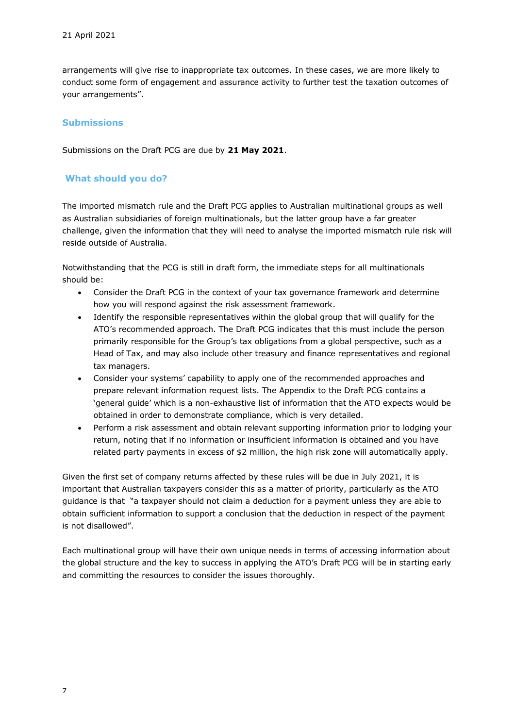arrangements will give rise to inappropriate tax outcomes. In these cases, we are more likely to conduct some form of engagement and assurance activity to further test the taxation outcomes of your arrangements".

#### **Submissions**

Submissions on the Draft PCG are due by **21 May 2021**.

#### **What should you do?**

The imported mismatch rule and the Draft PCG applies to Australian multinational groups as well as Australian subsidiaries of foreign multinationals, but the latter group have a far greater challenge, given the information that they will need to analyse the imported mismatch rule risk will reside outside of Australia.

Notwithstanding that the PCG is still in draft form, the immediate steps for all multinationals should be:

- Consider the Draft PCG in the context of your tax governance framework and determine how you will respond against the risk assessment framework.
- Identify the responsible representatives within the global group that will qualify for the ATO's recommended approach. The Draft PCG indicates that this must include the person primarily responsible for the Group's tax obligations from a global perspective, such as a Head of Tax, and may also include other treasury and finance representatives and regional tax managers.
- Consider your systems' capability to apply one of the recommended approaches and prepare relevant information request lists. The Appendix to the Draft PCG contains a 'general guide' which is a non-exhaustive list of information that the ATO expects would be obtained in order to demonstrate compliance, which is very detailed.
- Perform a risk assessment and obtain relevant supporting information prior to lodging your return, noting that if no information or insufficient information is obtained and you have related party payments in excess of \$2 million, the high risk zone will automatically apply.

Given the first set of company returns affected by these rules will be due in July 2021, it is important that Australian taxpayers consider this as a matter of priority, particularly as the ATO guidance is that "a taxpayer should not claim a deduction for a payment unless they are able to obtain sufficient information to support a conclusion that the deduction in respect of the payment is not disallowed".

Each multinational group will have their own unique needs in terms of accessing information about the global structure and the key to success in applying the ATO's Draft PCG will be in starting early and committing the resources to consider the issues thoroughly.